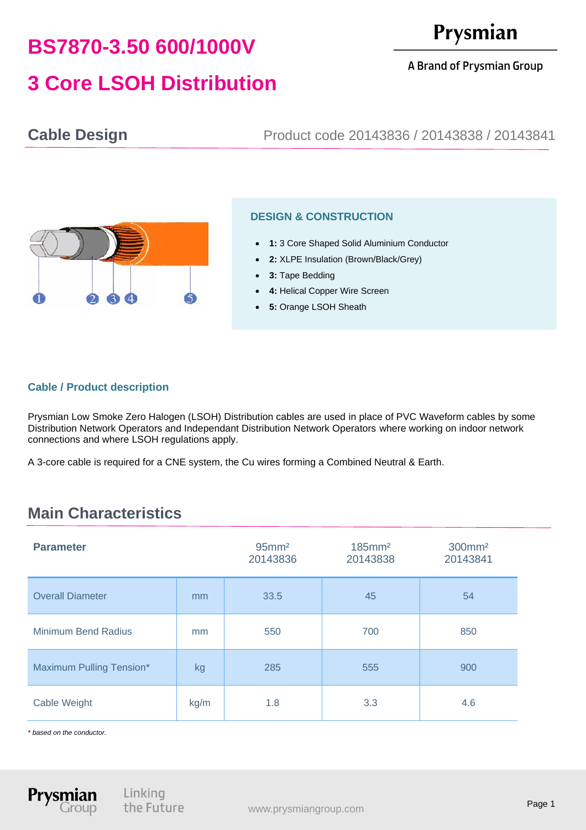# **BS7870-3.50 600/1000V 3 Core LSOH Distribution**

A Brand of Prysmian Group

**Cable Design** Product code 20143836 / 20143838 / 20143841



#### **DESIGN & CONSTRUCTION**

- **1:** 3 Core Shaped Solid Aluminium Conductor
- **2:** XLPE Insulation (Brown/Black/Grey)
- **3:** Tape Bedding
- **4: Helical Copper Wire Screen**
- **5:** Orange LSOH Sheath

#### **Cable / Product description**

Prysmian Low Smoke Zero Halogen (LSOH) Distribution cables are used in place of PVC Waveform cables by some Distribution Network Operators and Independant Distribution Network Operators where working on indoor network connections and where LSOH regulations apply.

A 3-core cable is required for a CNE system, the Cu wires forming a Combined Neutral & Earth.

## **Main Characteristics**

| <b>Parameter</b>           |      | $95$ mm <sup>2</sup><br>20143836 | $185$ mm <sup>2</sup><br>20143838 | 300mm <sup>2</sup><br>20143841 |
|----------------------------|------|----------------------------------|-----------------------------------|--------------------------------|
| <b>Overall Diameter</b>    | mm   | 33.5                             | 45                                | 54                             |
| <b>Minimum Bend Radius</b> | mm   | 550                              | 700                               | 850                            |
| Maximum Pulling Tension*   | kg   | 285                              | 555                               | 900                            |
| Cable Weight               | kg/m | 1.8                              | 3.3                               | 4.6                            |

*\* based on the conductor.*